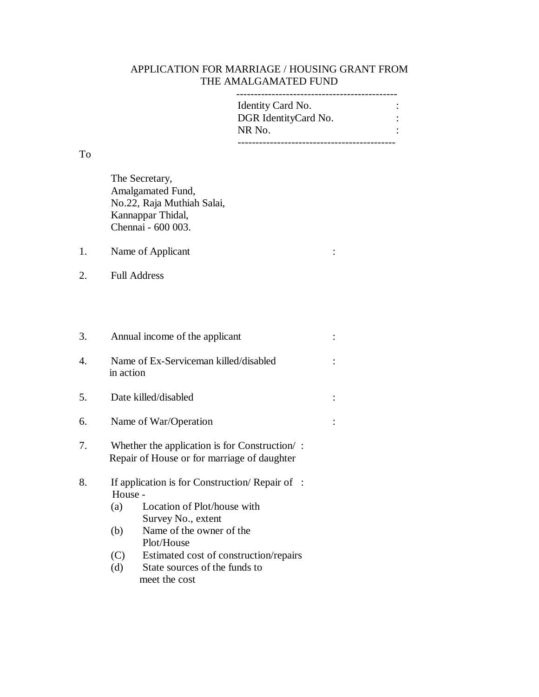## APPLICATION FOR MARRIAGE / HOUSING GRANT FROM THE AMALGAMATED FUND

| Identity Card No.    |  |
|----------------------|--|
| DGR IdentityCard No. |  |
| NR No.               |  |
|                      |  |

To

The Secretary, Amalgamated Fund, No.22, Raja Muthiah Salai, Kannappar Thidal, Chennai - 600 003.

1. Name of Applicant :

2. Full Address

| 3.                    | Annual income of the applicant                                                                        |  |
|-----------------------|-------------------------------------------------------------------------------------------------------|--|
| $\mathcal{A}_{\cdot}$ | Name of Ex-Serviceman killed/disabled<br>in action                                                    |  |
| 5.                    | Date killed/disabled                                                                                  |  |
| 6.                    | Name of War/Operation                                                                                 |  |
| 7.                    | Whether the application is for Construction $\prime$ :<br>Repair of House or for marriage of daughter |  |
| 8.                    | If application is for Construction/Repair of :                                                        |  |

- House (a) Location of Plot/house with Survey No., extent
- (b) Name of the owner of the Plot/House
- (C) Estimated cost of construction/repairs
- (d) State sources of the funds to meet the cost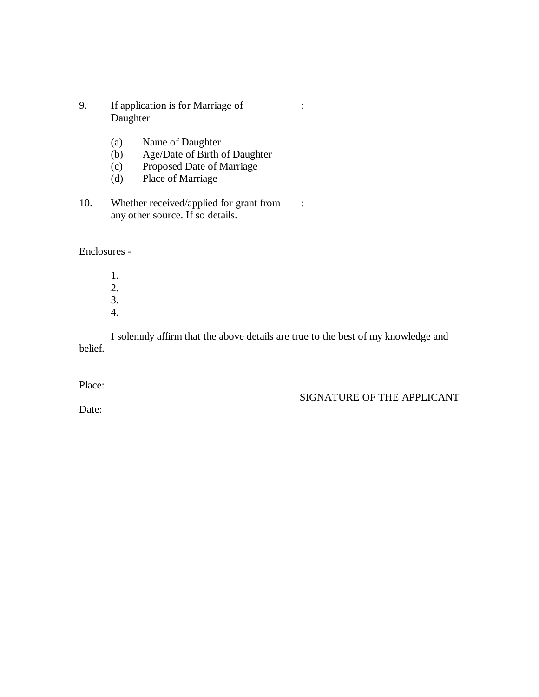- 9. If application is for Marriage of : Daughter
	- (a) Name of Daughter
	- (b) Age/Date of Birth of Daughter
	- (c) Proposed Date of Marriage
	- (d) Place of Marriage
- 10. Whether received/applied for grant from : any other source. If so details.

Enclosures -

1. 2. 3. 4.

I solemnly affirm that the above details are true to the best of my knowledge and belief.

Place:

SIGNATURE OF THE APPLICANT

Date: